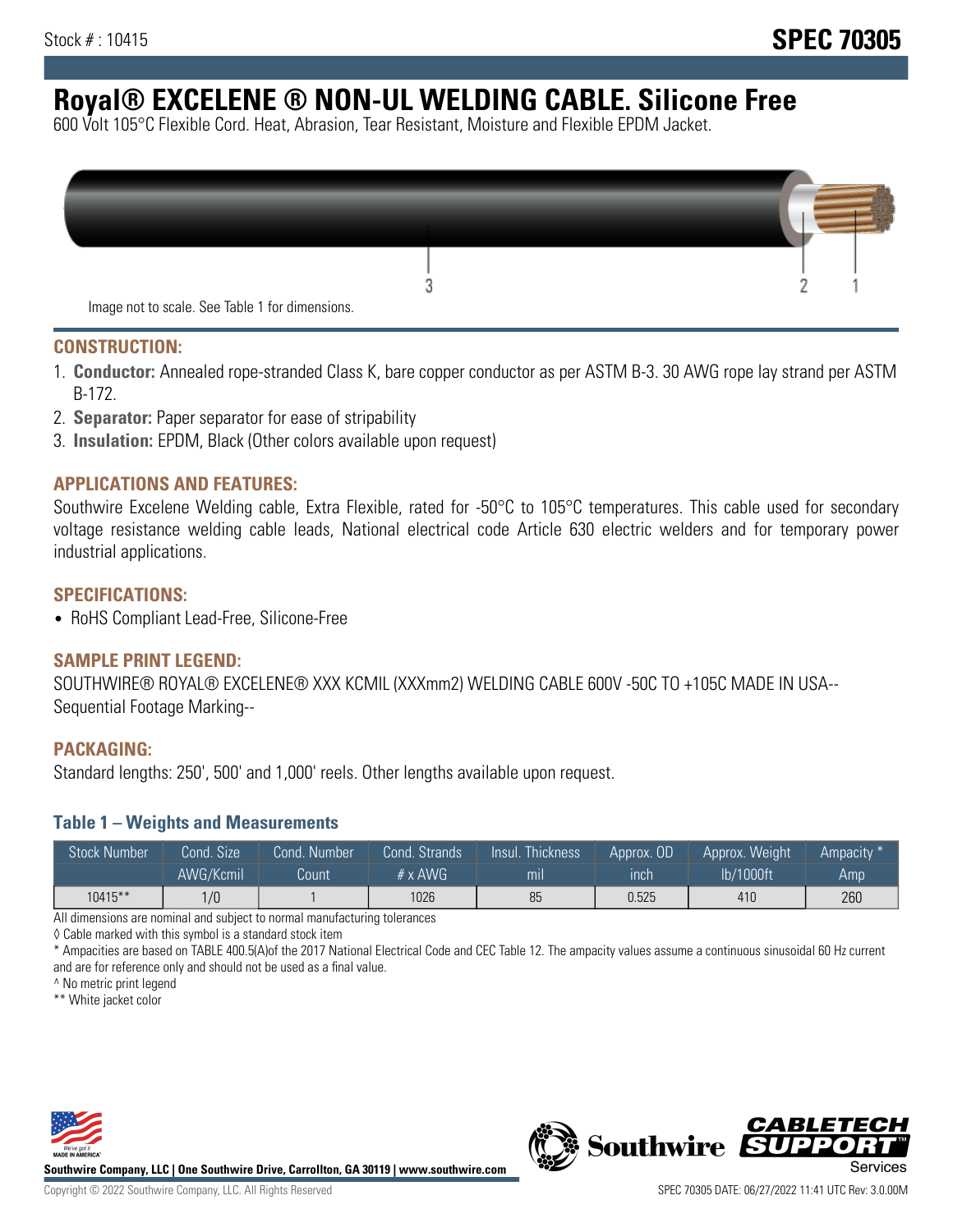# **Royal® EXCELENE ® NON-UL WELDING CABLE. Silicone Free**

600 Volt 105°C Flexible Cord. Heat, Abrasion, Tear Resistant, Moisture and Flexible EPDM Jacket.

| Image not to scale. See Table 1 for dimensions. |  |
|-------------------------------------------------|--|

#### **CONSTRUCTION:**

- 1. **Conductor:** Annealed rope-stranded Class K, bare copper conductor as per ASTM B-3. 30 AWG rope lay strand per ASTM B-172.
- 2. **Separator:** Paper separator for ease of stripability
- 3. **Insulation:** EPDM, Black (Other colors available upon request)

#### **APPLICATIONS AND FEATURES:**

Southwire Excelene Welding cable, Extra Flexible, rated for -50°C to 105°C temperatures. This cable used for secondary voltage resistance welding cable leads, National electrical code Article 630 electric welders and for temporary power industrial applications.

#### **SPECIFICATIONS:**

• RoHS Compliant Lead-Free, Silicone-Free

## **SAMPLE PRINT LEGEND:**

SOUTHWIRE® ROYAL® EXCELENE® XXX KCMIL (XXXmm2) WELDING CABLE 600V -50C TO +105C MADE IN USA-- Sequential Footage Marking--

#### **PACKAGING:**

Standard lengths: 250', 500' and 1,000' reels. Other lengths available upon request.

#### **Table 1 – Weights and Measurements**

| <b>Stock Number</b> | Cond. Size' | Cond. Number | Cond. Strands   | Insul. Thickness | Approx. OD | Approx. Weight | Ampacity * |
|---------------------|-------------|--------------|-----------------|------------------|------------|----------------|------------|
|                     | AWG/Kcmil   | Count        | $# \times$ AWG. | m <sub>l</sub>   | inch       | lb/1000ft      | Amp        |
| 10415**             | 1/0         |              | 1026            | 85               | 0.525      | 410            | 260        |

All dimensions are nominal and subject to normal manufacturing tolerances

◊ Cable marked with this symbol is a standard stock item

\* Ampacities are based on TABLE 400.5(A)of the 2017 National Electrical Code and CEC Table 12. The ampacity values assume a continuous sinusoidal 60 Hz current and are for reference only and should not be used as a final value.

^ No metric print legend

\*\* White jacket color



**Southwire Company, LLC | One Southwire Drive, Carrollton, GA 30119 | www.southwire.com**



*CABLETE*